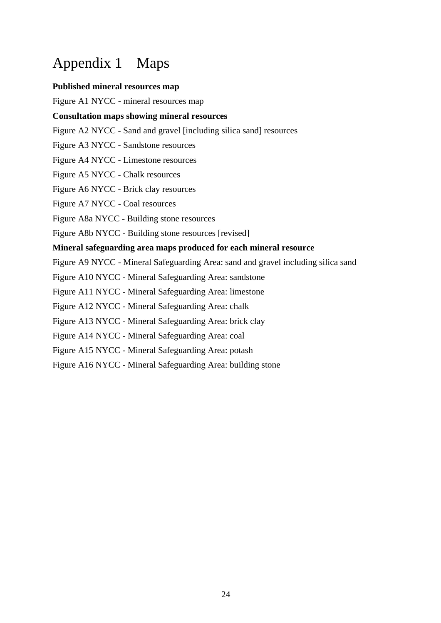## Appendix 1 Maps

## **Published mineral resources map**

Figure A1 NYCC - mineral resources map

## **Consultation maps showing mineral resources**

- Figure A2 NYCC Sand and gravel [including silica sand] resources
- Figure A3 NYCC Sandstone resources
- Figure A4 NYCC Limestone resources
- Figure A5 NYCC Chalk resources
- Figure A6 NYCC Brick clay resources
- Figure A7 NYCC Coal resources
- Figure A8a NYCC Building stone resources
- Figure A8b NYCC Building stone resources [revised]

## **Mineral safeguarding area maps produced for each mineral resource**

- Figure A9 NYCC Mineral Safeguarding Area: sand and gravel including silica sand
- Figure A10 NYCC Mineral Safeguarding Area: sandstone
- Figure A11 NYCC Mineral Safeguarding Area: limestone
- Figure A12 NYCC Mineral Safeguarding Area: chalk
- Figure A13 NYCC Mineral Safeguarding Area: brick clay
- Figure A14 NYCC Mineral Safeguarding Area: coal
- Figure A15 NYCC Mineral Safeguarding Area: potash
- Figure A16 NYCC Mineral Safeguarding Area: building stone